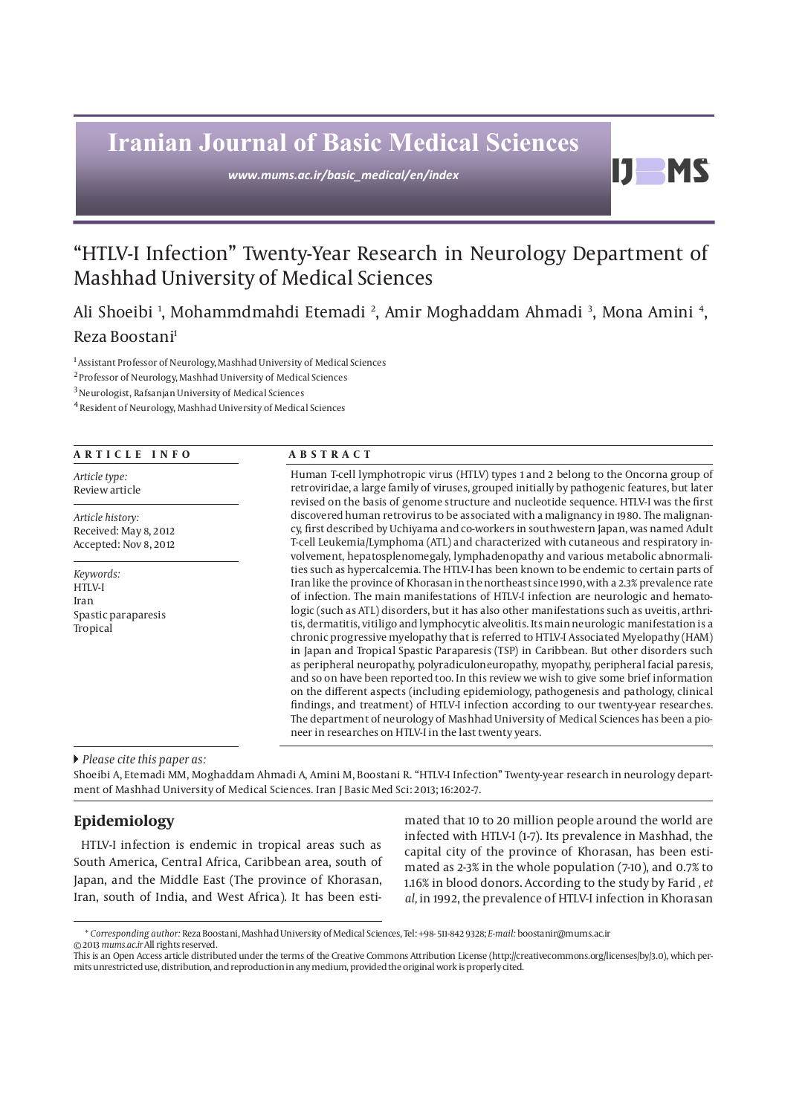# **Iranian Journal of Basic Medical Sciences**

*www.mums.ac.ir/basic\_medical/en/index*

## "HTLV-I Infection" Twenty-Year Research in Neurology Department of Mashhad University of Medical Sciences

Ali Shoeibi <sup>1</sup>, Mohammdmahdi Etemadi <sup>2</sup>, Amir Moghaddam Ahmadi <sup>3</sup>, Mona Amini <del>4</del>, Reza Boostani1

1 Assistant Professor of Neurology, Mashhad University of Medical Sciences

2 Professor of Neurology, Mashhad University of Medical Sciences

3 Neurologist, Rafsanjan University of Medical Sciences

4 Resident of Neurology, Mashhad University of Medical Sciences

#### **ARTICLE INFO ABSTRACT**

*Article type:* Review article

*Article history:* Received: May 8, 2012 Accepted: Nov 8, 2012

*Keywords:* HTLV-I Iran Spastic paraparesis Tropical

Human T-cell lymphotropic virus (HTLV) types 1 and 2 belong to the Oncorna group of retroviridae, a large family of viruses, grouped initially by pathogenic features, but later revised on the basis of genome structure and nucleotide sequence. HTLV-I was the first discovered human retrovirus to be associated with a malignancy in 1980. The malignancy, first described by Uchiyama and co-workers in southwestern Japan, was named Adult T-cell Leukemia/Lymphoma (ATL) and characterized with cutaneous and respiratory involvement, hepatosplenomegaly, lymphadenopathy and various metabolic abnormalities such as hypercalcemia. The HTLV-I has been known to be endemic to certain parts of Iran like the province of Khorasan in the northeast since 1990, with a 2.3% prevalence rate of infection. The main manifestations of HTLV-I infection are neurologic and hematologic (such as ATL) disorders, but it has also other manifestations such as uveitis, arthritis, dermatitis, vitiligo and lymphocytic alveolitis. Its main neurologic manifestation is a chronic progressive myelopathy that is referred to HTLV-I Associated Myelopathy (HAM) in Japan and Tropical Spastic Paraparesis (TSP) in Caribbean. But other disorders such as peripheral neuropathy, polyradiculoneuropathy, myopathy, peripheral facial paresis, and so on have been reported too. In this review we wish to give some brief information on the different aspects (including epidemiology, pathogenesis and pathology, clinical findings, and treatment) of HTLV-I infection according to our twenty-year researches. The department of neurology of Mashhad University of Medical Sciences has been a pioneer in researches on HTLV-I in the last twenty years.

 *Please cite this paper as:* 

Shoeibi A, Etemadi MM, Moghaddam Ahmadi A, Amini M, Boostani R. "HTLV-I Infection" Twenty-year research in neurology department of Mashhad University of Medical Sciences. Iran J Basic Med Sci: 2013; 16:202-7.

### **Epidemiology**

HTLV-I infection is endemic in tropical areas such as South America, Central Africa, Caribbean area, south of Japan, and the Middle East (The province of Khorasan, Iran, south of India, and West Africa). It has been estimated that 10 to 20 million people around the world are infected with HTLV-I (1-7). Its prevalence in Mashhad, the capital city of the province of Khorasan, has been estimated as 2-3% in the whole population (7-10), and 0.7% to 1.16% in blood donors. According to the study by Farid *, et al,* in 1992, the prevalence of HTLV-I infection in Khorasan

D

**MS** 

<sup>\*</sup> *Corresponding author:* Reza Boostani, Mashhad University of Medical Sciences, Tel: +98- 511-842 9328; *E-mail:* boostanir@mums.ac.ir

<sup>© 2013</sup> *mums.ac.ir* All rights reserved.

This is an Open Access article distributed under the terms of the Creative Commons Attribution License (http://creativecommons.org/licenses/by/3.0), which permits unrestricted use, distribution, and reproduction in any medium, provided the original work is properly cited.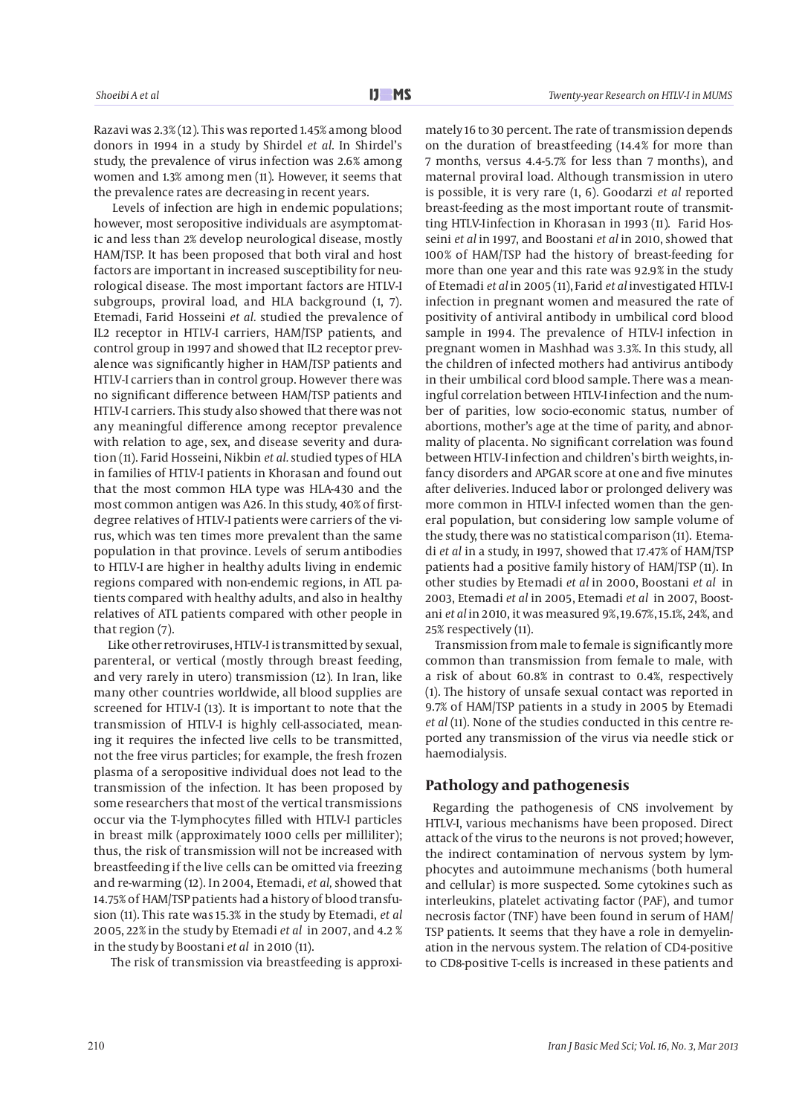Razavi was 2.3% (12). This was reported 1.45% among blood donors in 1994 in a study by Shirdel *et al*. In Shirdel's study, the prevalence of virus infection was 2.6% among women and 1.3% among men (11). However, it seems that the prevalence rates are decreasing in recent years.

 Levels of infection are high in endemic populations; however, most seropositive individuals are asymptomatic and less than 2% develop neurological disease, mostly HAM/TSP. It has been proposed that both viral and host factors are important in increased susceptibility for neurological disease. The most important factors are HTLV-I subgroups, proviral load, and HLA background (1, 7). Etemadi, Farid Hosseini *et al.* studied the prevalence of IL2 receptor in HTLV-I carriers, HAM/TSP patients, and control group in 1997 and showed that IL2 receptor prevalence was significantly higher in HAM/TSP patients and HTLV-I carriers than in control group. However there was no significant difference between HAM/TSP patients and HTLV-I carriers. This study also showed that there was not any meaningful difference among receptor prevalence with relation to age, sex, and disease severity and duration (11). Farid Hosseini, Nikbin *et al.* studied types of HLA in families of HTLV-I patients in Khorasan and found out that the most common HLA type was HLA-430 and the most common antigen was A26. In this study, 40% of firstdegree relatives of HTLV-I patients were carriers of the virus, which was ten times more prevalent than the same population in that province. Levels of serum antibodies to HTLV-I are higher in healthy adults living in endemic regions compared with non-endemic regions, in ATL patients compared with healthy adults, and also in healthy relatives of ATL patients compared with other people in that region (7).

 Like other retroviruses, HTLV-I is transmitted by sexual, parenteral, or vertical (mostly through breast feeding, and very rarely in utero) transmission (12). In Iran, like many other countries worldwide, all blood supplies are screened for HTLV-I (13). It is important to note that the transmission of HTLV-I is highly cell-associated, meaning it requires the infected live cells to be transmitted, not the free virus particles; for example, the fresh frozen plasma of a seropositive individual does not lead to the transmission of the infection. It has been proposed by some researchers that most of the vertical transmissions occur via the T-lymphocytes filled with HTLV-I particles in breast milk (approximately 1000 cells per milliliter); thus, the risk of transmission will not be increased with breastfeeding if the live cells can be omitted via freezing and re-warming (12). In 2004, Etemadi, *et al,* showed that 14.75% of HAM/TSP patients had a history of blood transfusion (11). This rate was 15.3% in the study by Etemadi, *et al* 2005, 22% in the study by Etemadi *et al* in 2007, and 4.2 % in the study by Boostani *et al* in 2010 (11).

The risk of transmission via breastfeeding is approxi-

mately 16 to 30 percent. The rate of transmission depends on the duration of breastfeeding (14.4% for more than 7 months, versus 4.4-5.7% for less than 7 months), and maternal proviral load. Although transmission in utero is possible, it is very rare (1, 6). Goodarzi *et al* reported breast-feeding as the most important route of transmitting HTLV-Iinfection in Khorasan in 1993 (11). Farid Hosseini *et al* in 1997, and Boostani *et al* in 2010, showed that 100% of HAM/TSP had the history of breast-feeding for more than one year and this rate was 92.9% in the study of Etemadi *et al* in 2005 (11), Farid *et al* investigated HTLV-I infection in pregnant women and measured the rate of positivity of antiviral antibody in umbilical cord blood sample in 1994. The prevalence of HTLV-I infection in pregnant women in Mashhad was 3.3%. In this study, all the children of infected mothers had antivirus antibody in their umbilical cord blood sample. There was a meaningful correlation between HTLV-Iinfection and the number of parities, low socio-economic status, number of abortions, mother's age at the time of parity, and abnormality of placenta. No significant correlation was found between HTLV-I infection and children's birth weights, infancy disorders and APGAR score at one and five minutes after deliveries. Induced labor or prolonged delivery was more common in HTLV-I infected women than the general population, but considering low sample volume of the study, there was no statistical comparison (11). Etemadi *et al* in a study, in 1997, showed that 17.47% of HAM/TSP patients had a positive family history of HAM/TSP (11). In other studies by Etemadi *et al* in 2000, Boostani *et al* in 2003, Etemadi *et al* in 2005, Etemadi *et al* in 2007, Boostani *et al* in 2010, it was measured 9%, 19.67%, 15.1%, 24%, and 25% respectively (11).

 Transmission from male to female is significantly more common than transmission from female to male, with a risk of about 60.8% in contrast to 0.4%, respectively (1). The history of unsafe sexual contact was reported in 9.7% of HAM/TSP patients in a study in 2005 by Etemadi *et al* (11). None of the studies conducted in this centre reported any transmission of the virus via needle stick or haemodialysis.

#### **Pathology and pathogenesis**

Regarding the pathogenesis of CNS involvement by HTLV-I, various mechanisms have been proposed. Direct attack of the virus to the neurons is not proved; however, the indirect contamination of nervous system by lymphocytes and autoimmune mechanisms (both humeral and cellular) is more suspected. Some cytokines such as interleukins, platelet activating factor (PAF), and tumor necrosis factor (TNF) have been found in serum of HAM/ TSP patients. It seems that they have a role in demyelination in the nervous system. The relation of CD4-positive to CD8-positive T-cells is increased in these patients and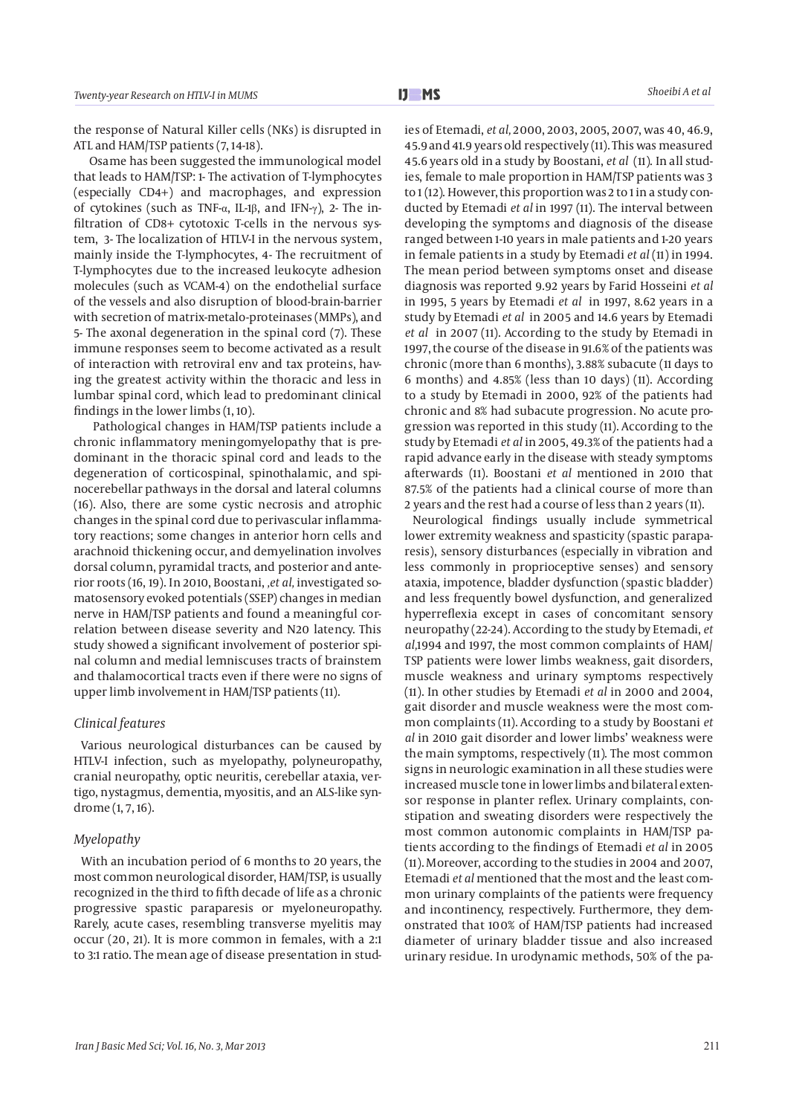the response of Natural Killer cells (NKs) is disrupted in ATL and HAM/TSP patients (7, 14-18).

 Osame has been suggested the immunological model that leads to HAM/TSP: 1- The activation of T-lymphocytes (especially CD4+) and macrophages, and expression of cytokines (such as TNF- $\alpha$ , IL-1 $\beta$ , and IFN- $\gamma$ ), 2- The infiltration of CD8+ cytotoxic T-cells in the nervous system, 3- The localization of HTLV-I in the nervous system, mainly inside the T-lymphocytes, 4- The recruitment of T-lymphocytes due to the increased leukocyte adhesion molecules (such as VCAM-4) on the endothelial surface of the vessels and also disruption of blood-brain-barrier with secretion of matrix-metalo-proteinases (MMPs), and 5- The axonal degeneration in the spinal cord (7). These immune responses seem to become activated as a result of interaction with retroviral env and tax proteins, having the greatest activity within the thoracic and less in lumbar spinal cord, which lead to predominant clinical findings in the lower limbs (1, 10).

 Pathological changes in HAM/TSP patients include a chronic inflammatory meningomyelopathy that is predominant in the thoracic spinal cord and leads to the degeneration of corticospinal, spinothalamic, and spinocerebellar pathways in the dorsal and lateral columns (16). Also, there are some cystic necrosis and atrophic changes in the spinal cord due to perivascular inflammatory reactions; some changes in anterior horn cells and arachnoid thickening occur, and demyelination involves dorsal column, pyramidal tracts, and posterior and anterior roots (16, 19). In 2010, Boostani, *,et al,* investigated somatosensory evoked potentials (SSEP) changes in median nerve in HAM/TSP patients and found a meaningful correlation between disease severity and N20 latency. This study showed a significant involvement of posterior spinal column and medial lemniscuses tracts of brainstem and thalamocortical tracts even if there were no signs of upper limb involvement in HAM/TSP patients (11).

#### *Clinical features*

Various neurological disturbances can be caused by HTLV-I infection, such as myelopathy, polyneuropathy, cranial neuropathy, optic neuritis, cerebellar ataxia, vertigo, nystagmus, dementia, myositis, and an ALS-like syndrome (1, 7, 16).

#### *Myelopathy*

With an incubation period of 6 months to 20 years, the most common neurological disorder, HAM/TSP, is usually recognized in the third to fifth decade of life as a chronic progressive spastic paraparesis or myeloneuropathy. Rarely, acute cases, resembling transverse myelitis may occur (20, 21). It is more common in females, with a 2:1 to 3:1 ratio. The mean age of disease presentation in studies of Etemadi, *et al,* 2000, 2003, 2005, 2007, was 40, 46.9, 45.9 and 41.9 years old respectively (11). This was measured 45.6 years old in a study by Boostani, *et al* (11). In all studies, female to male proportion in HAM/TSP patients was 3 to  $1(12)$ . However, this proportion was 2 to 1 in a study conducted by Etemadi *et al* in 1997 (11). The interval between developing the symptoms and diagnosis of the disease ranged between 1-10 years in male patients and 1-20 years in female patients in a study by Etemadi *et al* (11) in 1994. The mean period between symptoms onset and disease diagnosis was reported 9.92 years by Farid Hosseini *et al* in 1995, 5 years by Etemadi *et al* in 1997, 8.62 years in a study by Etemadi *et al* in 2005 and 14.6 years by Etemadi *et al* in 2007 (11). According to the study by Etemadi in 1997, the course of the disease in 91.6% of the patients was chronic (more than 6 months), 3.88% subacute (11 days to 6 months) and 4.85% (less than 10 days) (11). According to a study by Etemadi in 2000, 92% of the patients had chronic and 8% had subacute progression. No acute progression was reported in this study (11). According to the study by Etemadi *et al* in 2005, 49.3% of the patients had a rapid advance early in the disease with steady symptoms afterwards (11). Boostani *et al* mentioned in 2010 that 87.5% of the patients had a clinical course of more than 2 years and the rest had a course of less than 2 years (11).

Neurological findings usually include symmetrical lower extremity weakness and spasticity (spastic paraparesis), sensory disturbances (especially in vibration and less commonly in proprioceptive senses) and sensory ataxia, impotence, bladder dysfunction (spastic bladder) and less frequently bowel dysfunction, and generalized hyperreflexia except in cases of concomitant sensory neuropathy (22-24). According to the study by Etemadi, *et al,*1994 and 1997, the most common complaints of HAM/ TSP patients were lower limbs weakness, gait disorders, muscle weakness and urinary symptoms respectively (11). In other studies by Etemadi *et al* in 2000 and 2004, gait disorder and muscle weakness were the most common complaints (11). According to a study by Boostani *et al* in 2010 gait disorder and lower limbs' weakness were the main symptoms, respectively (11). The most common signs in neurologic examination in all these studies were increased muscle tone in lower limbs and bilateral extensor response in planter reflex. Urinary complaints, constipation and sweating disorders were respectively the most common autonomic complaints in HAM/TSP patients according to the findings of Etemadi *et al* in 2005 (11). Moreover, according to the studies in 2004 and 2007, Etemadi *et al* mentioned that the most and the least common urinary complaints of the patients were frequency and incontinency, respectively. Furthermore, they demonstrated that 100% of HAM/TSP patients had increased diameter of urinary bladder tissue and also increased urinary residue. In urodynamic methods, 50% of the pa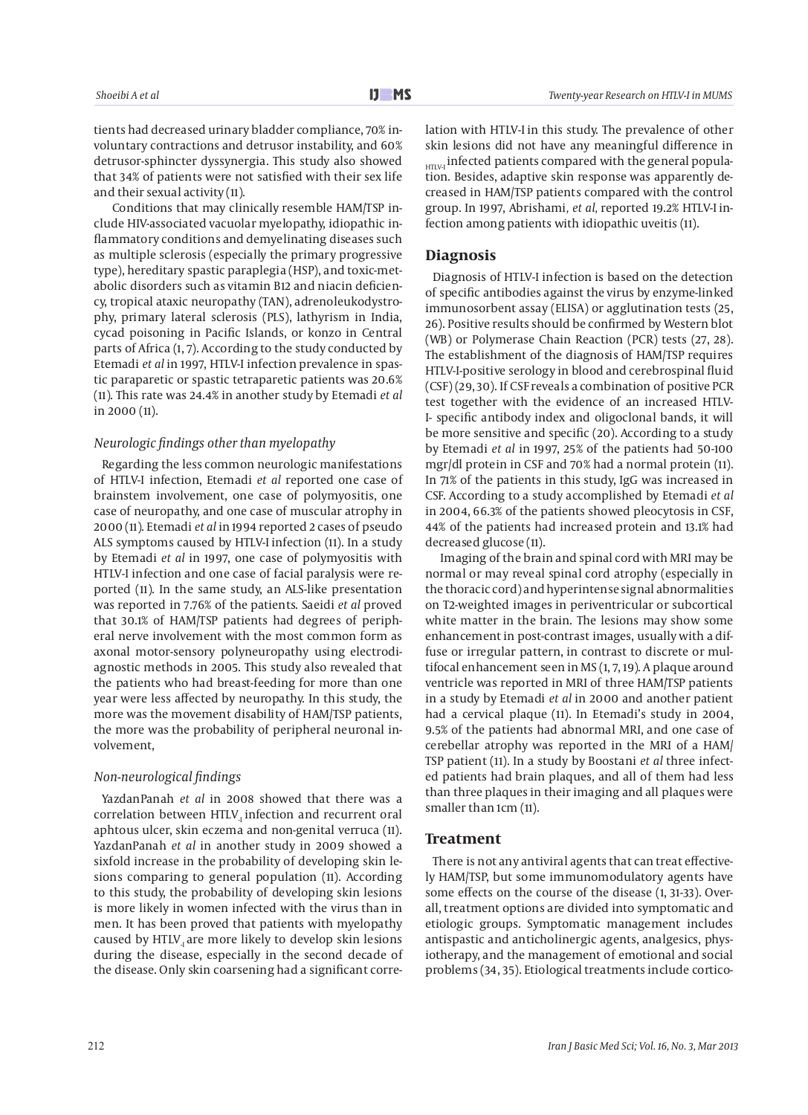tients had decreased urinary bladder compliance, 70% involuntary contractions and detrusor instability, and 60% detrusor-sphincter dyssynergia. This study also showed that 34% of patients were not satisfied with their sex life and their sexual activity (11).

 Conditions that may clinically resemble HAM/TSP include HIV-associated vacuolar myelopathy, idiopathic inflammatory conditions and demyelinating diseases such as multiple sclerosis (especially the primary progressive type), hereditary spastic paraplegia (HSP), and toxic-metabolic disorders such as vitamin B12 and niacin deficiency, tropical ataxic neuropathy (TAN), adrenoleukodystrophy, primary lateral sclerosis (PLS), lathyrism in India, cycad poisoning in Pacific Islands, or konzo in Central parts of Africa (1, 7). According to the study conducted by Etemadi *et al* in 1997, HTLV-I infection prevalence in spastic paraparetic or spastic tetraparetic patients was 20.6% (11). This rate was 24.4% in another study by Etemadi *et al* in 2000 (11).

#### *Neurologic findings other than myelopathy*

Regarding the less common neurologic manifestations of HTLV-I infection, Etemadi *et al* reported one case of brainstem involvement, one case of polymyositis, one case of neuropathy, and one case of muscular atrophy in 2000 (11). Etemadi *et al* in 1994 reported 2 cases of pseudo ALS symptoms caused by HTLV-I infection (11). In a study by Etemadi *et al* in 1997, one case of polymyositis with HTLV-I infection and one case of facial paralysis were reported (11). In the same study, an ALS-like presentation was reported in 7.76% of the patients. Saeidi *et al* proved that 30.1% of HAM/TSP patients had degrees of peripheral nerve involvement with the most common form as axonal motor-sensory polyneuropathy using electrodiagnostic methods in 2005. This study also revealed that the patients who had breast-feeding for more than one year were less affected by neuropathy. In this study, the more was the movement disability of HAM/TSP patients, the more was the probability of peripheral neuronal involvement,

#### *Non-neurological findings*

YazdanPanah *et al* in 2008 showed that there was a correlation between HTLV<sub>-I</sub> infection and recurrent oral aphtous ulcer, skin eczema and non-genital verruca (11). YazdanPanah *et al* in another study in 2009 showed a sixfold increase in the probability of developing skin lesions comparing to general population (11). According to this study, the probability of developing skin lesions is more likely in women infected with the virus than in men. It has been proved that patients with myelopathy caused by HTLV<sub>-</sub> are more likely to develop skin lesions during the disease, especially in the second decade of the disease. Only skin coarsening had a significant correlation with HTLV-I in this study. The prevalence of other skin lesions did not have any meaningful difference in HTLV-I infected patients compared with the general population. Besides, adaptive skin response was apparently decreased in HAM/TSP patients compared with the control group. In 1997, Abrishami*, et al,* reported 19.2% HTLV-I infection among patients with idiopathic uveitis (11).

#### **Diagnosis**

Diagnosis of HTLV-I infection is based on the detection of specific antibodies against the virus by enzyme-linked immunosorbent assay (ELISA) or agglutination tests (25, 26). Positive results should be confirmed by Western blot (WB) or Polymerase Chain Reaction (PCR) tests (27, 28). The establishment of the diagnosis of HAM/TSP requires HTLV-I-positive serology in blood and cerebrospinal fluid (CSF) (29, 30). If CSF reveals a combination of positive PCR test together with the evidence of an increased HTLV-I- specific antibody index and oligoclonal bands, it will be more sensitive and specific (20). According to a study by Etemadi *et al* in 1997, 25% of the patients had 50-100 mgr/dl protein in CSF and 70% had a normal protein (11). In 71% of the patients in this study, IgG was increased in CSF. According to a study accomplished by Etemadi *et al* in 2004, 66.3% of the patients showed pleocytosis in CSF, 44% of the patients had increased protein and 13.1% had decreased glucose (11).

 Imaging of the brain and spinal cord with MRI may be normal or may reveal spinal cord atrophy (especially in the thoracic cord) and hyperintense signal abnormalities on T2-weighted images in periventricular or subcortical white matter in the brain. The lesions may show some enhancement in post-contrast images, usually with a diffuse or irregular pattern, in contrast to discrete or multifocal enhancement seen in MS (1, 7, 19). A plaque around ventricle was reported in MRI of three HAM/TSP patients in a study by Etemadi *et al* in 2000 and another patient had a cervical plaque (11). In Etemadi's study in 2004, 9.5% of the patients had abnormal MRI, and one case of cerebellar atrophy was reported in the MRI of a HAM/ TSP patient (11). In a study by Boostani *et al* three infected patients had brain plaques, and all of them had less than three plaques in their imaging and all plaques were smaller than 1cm (11).

#### **Treatment**

There is not any antiviral agents that can treat effectively HAM/TSP, but some immunomodulatory agents have some effects on the course of the disease (1, 31-33). Overall, treatment options are divided into symptomatic and etiologic groups. Symptomatic management includes antispastic and anticholinergic agents, analgesics, physiotherapy, and the management of emotional and social problems (34, 35). Etiological treatments include cortico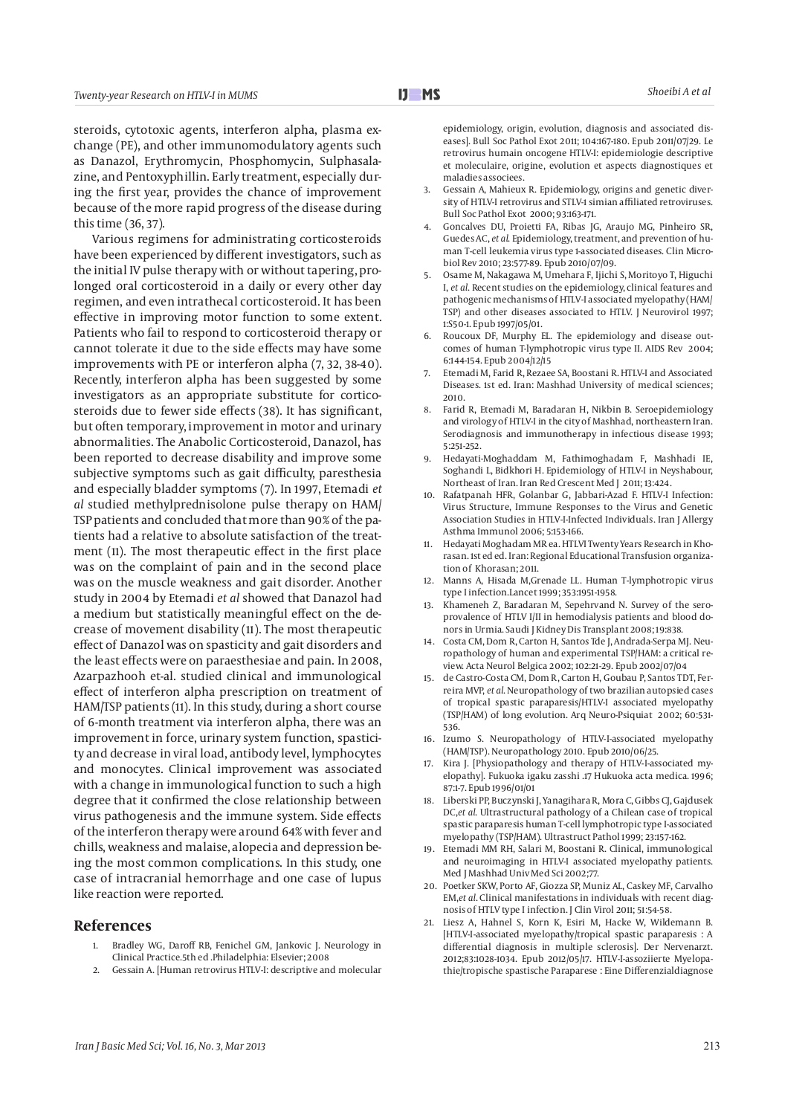steroids, cytotoxic agents, interferon alpha, plasma exchange (PE), and other immunomodulatory agents such as Danazol, Erythromycin, Phosphomycin, Sulphasalazine, and Pentoxyphillin. Early treatment, especially during the first year, provides the chance of improvement because of the more rapid progress of the disease during this time (36, 37).

 Various regimens for administrating corticosteroids have been experienced by different investigators, such as the initial IV pulse therapy with or without tapering, prolonged oral corticosteroid in a daily or every other day regimen, and even intrathecal corticosteroid. It has been effective in improving motor function to some extent. Patients who fail to respond to corticosteroid therapy or cannot tolerate it due to the side effects may have some improvements with PE or interferon alpha (7, 32, 38-40). Recently, interferon alpha has been suggested by some investigators as an appropriate substitute for corticosteroids due to fewer side effects (38). It has significant, but often temporary, improvement in motor and urinary abnormalities. The Anabolic Corticosteroid, Danazol, has been reported to decrease disability and improve some subjective symptoms such as gait difficulty, paresthesia and especially bladder symptoms (7). In 1997, Etemadi *et al* studied methylprednisolone pulse therapy on HAM/ TSP patients and concluded that more than 90% of the patients had a relative to absolute satisfaction of the treatment (11). The most therapeutic effect in the first place was on the complaint of pain and in the second place was on the muscle weakness and gait disorder. Another study in 2004 by Etemadi *et al* showed that Danazol had a medium but statistically meaningful effect on the decrease of movement disability (11). The most therapeutic effect of Danazol was on spasticity and gait disorders and the least effects were on paraesthesiae and pain. In 2008, Azarpazhooh et-al. studied clinical and immunological effect of interferon alpha prescription on treatment of HAM/TSP patients (11). In this study, during a short course of 6-month treatment via interferon alpha, there was an improvement in force, urinary system function, spasticity and decrease in viral load, antibody level, lymphocytes and monocytes. Clinical improvement was associated with a change in immunological function to such a high degree that it confirmed the close relationship between virus pathogenesis and the immune system. Side effects of the interferon therapy were around 64% with fever and chills, weakness and malaise, alopecia and depression being the most common complications. In this study, one case of intracranial hemorrhage and one case of lupus like reaction were reported.

#### **References**

- 1. Bradley WG, Daroff RB, Fenichel GM, Jankovic J. Neurology in Clinical Practice.5th ed .Philadelphia: Elsevier; 2008
- 2. Gessain A. [Human retrovirus HTLV-I: descriptive and molecular

epidemiology, origin, evolution, diagnosis and associated diseases]. Bull Soc Pathol Exot 2011; 104:167-180. Epub 2011/07/29. Le retrovirus humain oncogene HTLV-I: epidemiologie descriptive et moleculaire, origine, evolution et aspects diagnostiques et maladies associees.

- 3. Gessain A, Mahieux R. Epidemiology, origins and genetic diversity of HTLV-I retrovirus and STLV-1 simian affiliated retroviruses. Bull Soc Pathol Exot 2000; 93:163-171.
- 4. Goncalves DU, Proietti FA, Ribas JG, Araujo MG, Pinheiro SR, Guedes AC, *et al*. Epidemiology, treatment, and prevention of human T-cell leukemia virus type 1-associated diseases. Clin Microbiol Rev 2010; 23:577-89. Epub 2010/07/09.
- 5. Osame M, Nakagawa M, Umehara F, Ijichi S, Moritoyo T, Higuchi I, *et al*. Recent studies on the epidemiology, clinical features and pathogenic mechanisms of HTLV-I associated myelopathy (HAM/ TSP) and other diseases associated to HTLV. J Neurovirol 1997; 1:S50-1. Epub 1997/05/01.
- 6. Roucoux DF, Murphy EL. The epidemiology and disease outcomes of human T-lymphotropic virus type II. AIDS Rev 2004; 6:144-154. Epub 2004/12/15
- 7. Etemadi M, Farid R, Rezaee SA, Boostani R. HTLV-I and Associated Diseases. 1st ed. Iran: Mashhad University of medical sciences; 2010.
- 8. Farid R, Etemadi M, Baradaran H, Nikbin B. Seroepidemiology and virology of HTLV-I in the city of Mashhad, northeastern Iran. Serodiagnosis and immunotherapy in infectious disease 1993; 5:251-252.
- 9. Hedayati-Moghaddam M, Fathimoghadam F, Mashhadi IE, Soghandi L, Bidkhori H. Epidemiology of HTLV-I in Neyshabour, Northeast of Iran. Iran Red Crescent Med J 2011; 13:424.
- 10. Rafatpanah HFR, Golanbar G, Jabbari-Azad F. HTLV-I Infection: Virus Structure, Immune Responses to the Virus and Genetic Association Studies in HTLV-I-Infected Individuals. Iran J Allergy Asthma Immunol 2006; 5:153-166.
- 11. Hedayati Moghadam MR ea. HTLVI Twenty Years Research in Khorasan. 1st ed ed. Iran: Regional Educational Transfusion organization of Khorasan; 2011.
- 12. Manns A, Hisada M,Grenade LL. Human T-lymphotropic virus type I infection.Lancet 1999; 353:1951-1958.
- 13. Khameneh Z, Baradaran M, Sepehrvand N. Survey of the seroprovalence of HTLV I/II in hemodialysis patients and blood donors in Urmia. Saudi J Kidney Dis Transplant 2008; 19:838.
- 14. Costa CM, Dom R, Carton H, Santos Tde J, Andrada-Serpa MJ. Neuropathology of human and experimental TSP/HAM: a critical review. Acta Neurol Belgica 2002; 102:21-29. Epub 2002/07/04
- 15. de Castro-Costa CM, Dom R, Carton H, Goubau P, Santos TDT, Ferreira MVP, *et al*. Neuropathology of two brazilian autopsied cases of tropical spastic paraparesis/HTLV-I associated myelopathy (TSP/HAM) of long evolution. Arq Neuro-Psiquiat 2002; 60:531- 536.
- 16. Izumo S. Neuropathology of HTLV-I-associated myelopathy (HAM/TSP). Neuropathology 2010. Epub 2010/06/25.
- 17. Kira J. [Physiopathology and therapy of HTLV-I-associated myelopathy]. Fukuoka igaku zasshi .17 Hukuoka acta medica. 1996; 87:1-7. Epub 1996/01/01
- 18. Liberski PP, Buczynski J, Yanagihara R, Mora C, Gibbs CJ, Gajdusek DC,*et al*. Ultrastructural pathology of a Chilean case of tropical spastic paraparesis human T-cell lymphotropic type I-associated myelopathy (TSP/HAM). Ultrastruct Pathol 1999; 23:157-162.
- 19. Etemadi MM RH, Salari M, Boostani R. Clinical, immunological and neuroimaging in HTLV-I associated myelopathy patients. Med J Mashhad Univ Med Sci 2002;77.
- 20. Poetker SKW, Porto AF, Giozza SP, Muniz AL, Caskey MF, Carvalho EM,*et al*. Clinical manifestations in individuals with recent diagnosis of HTLV type I infection. J Clin Virol 2011; 51:54-58.
- 21. Liesz A, Hahnel S, Korn K, Esiri M, Hacke W, Wildemann B. [HTLV-I-associated myelopathy/tropical spastic paraparesis : A differential diagnosis in multiple sclerosis]. Der Nervenarzt. 2012;83:1028-1034. Epub 2012/05/17. HTLV-I-assoziierte Myelopathie/tropische spastische Paraparese : Eine Differenzialdiagnose